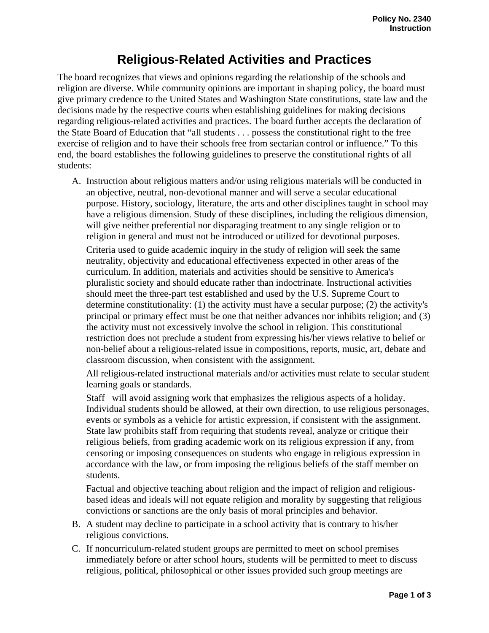## **Religious-Related Activities and Practices**

The board recognizes that views and opinions regarding the relationship of the schools and religion are diverse. While community opinions are important in shaping policy, the board must give primary credence to the United States and Washington State constitutions, state law and the decisions made by the respective courts when establishing guidelines for making decisions regarding religious-related activities and practices. The board further accepts the declaration of the State Board of Education that "all students . . . possess the constitutional right to the free exercise of religion and to have their schools free from sectarian control or influence." To this end, the board establishes the following guidelines to preserve the constitutional rights of all students:

A. Instruction about religious matters and/or using religious materials will be conducted in an objective, neutral, non-devotional manner and will serve a secular educational purpose. History, sociology, literature, the arts and other disciplines taught in school may have a religious dimension. Study of these disciplines, including the religious dimension, will give neither preferential nor disparaging treatment to any single religion or to religion in general and must not be introduced or utilized for devotional purposes. Criteria used to guide academic inquiry in the study of religion will seek the same neutrality, objectivity and educational effectiveness expected in other areas of the curriculum. In addition, materials and activities should be sensitive to America's pluralistic society and should educate rather than indoctrinate. Instructional activities should meet the three-part test established and used by the U.S. Supreme Court to determine constitutionality: (1) the activity must have a secular purpose; (2) the activity's principal or primary effect must be one that neither advances nor inhibits religion; and (3) the activity must not excessively involve the school in religion. This constitutional restriction does not preclude a student from expressing his/her views relative to belief or non-belief about a religious-related issue in compositions, reports, music, art, debate and classroom discussion, when consistent with the assignment.

All religious-related instructional materials and/or activities must relate to secular student learning goals or standards.

Staff will avoid assigning work that emphasizes the religious aspects of a holiday. Individual students should be allowed, at their own direction, to use religious personages, events or symbols as a vehicle for artistic expression, if consistent with the assignment. State law prohibits staff from requiring that students reveal, analyze or critique their religious beliefs, from grading academic work on its religious expression if any, from censoring or imposing consequences on students who engage in religious expression in accordance with the law, or from imposing the religious beliefs of the staff member on students.

Factual and objective teaching about religion and the impact of religion and religiousbased ideas and ideals will not equate religion and morality by suggesting that religious convictions or sanctions are the only basis of moral principles and behavior.

- B. A student may decline to participate in a school activity that is contrary to his/her religious convictions.
- C. If noncurriculum-related student groups are permitted to meet on school premises immediately before or after school hours, students will be permitted to meet to discuss religious, political, philosophical or other issues provided such group meetings are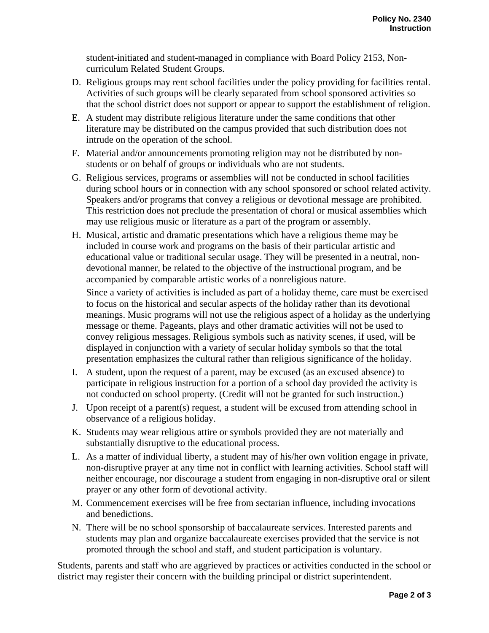student-initiated and student-managed in compliance with Board Policy 2153, Noncurriculum Related Student Groups.

- D. Religious groups may rent school facilities under the policy providing for facilities rental. Activities of such groups will be clearly separated from school sponsored activities so that the school district does not support or appear to support the establishment of religion.
- E. A student may distribute religious literature under the same conditions that other literature may be distributed on the campus provided that such distribution does not intrude on the operation of the school.
- F. Material and/or announcements promoting religion may not be distributed by nonstudents or on behalf of groups or individuals who are not students.
- G. Religious services, programs or assemblies will not be conducted in school facilities during school hours or in connection with any school sponsored or school related activity. Speakers and/or programs that convey a religious or devotional message are prohibited. This restriction does not preclude the presentation of choral or musical assemblies which may use religious music or literature as a part of the program or assembly.
- H. Musical, artistic and dramatic presentations which have a religious theme may be included in course work and programs on the basis of their particular artistic and educational value or traditional secular usage. They will be presented in a neutral, nondevotional manner, be related to the objective of the instructional program, and be accompanied by comparable artistic works of a nonreligious nature.

Since a variety of activities is included as part of a holiday theme, care must be exercised to focus on the historical and secular aspects of the holiday rather than its devotional meanings. Music programs will not use the religious aspect of a holiday as the underlying message or theme. Pageants, plays and other dramatic activities will not be used to convey religious messages. Religious symbols such as nativity scenes, if used, will be displayed in conjunction with a variety of secular holiday symbols so that the total presentation emphasizes the cultural rather than religious significance of the holiday.

- I. A student, upon the request of a parent, may be excused (as an excused absence) to participate in religious instruction for a portion of a school day provided the activity is not conducted on school property. (Credit will not be granted for such instruction.)
- J. Upon receipt of a parent(s) request, a student will be excused from attending school in observance of a religious holiday.
- K. Students may wear religious attire or symbols provided they are not materially and substantially disruptive to the educational process.
- L. As a matter of individual liberty, a student may of his/her own volition engage in private, non-disruptive prayer at any time not in conflict with learning activities. School staff will neither encourage, nor discourage a student from engaging in non-disruptive oral or silent prayer or any other form of devotional activity.
- M. Commencement exercises will be free from sectarian influence, including invocations and benedictions.
- N. There will be no school sponsorship of baccalaureate services. Interested parents and students may plan and organize baccalaureate exercises provided that the service is not promoted through the school and staff, and student participation is voluntary.

Students, parents and staff who are aggrieved by practices or activities conducted in the school or district may register their concern with the building principal or district superintendent.